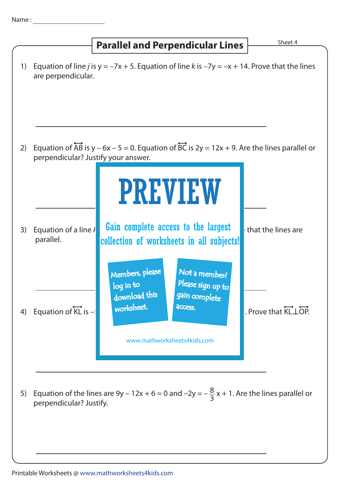**Parallel and Perpendicular Lines Figure 1 Parallel and Perpendicular Lines**